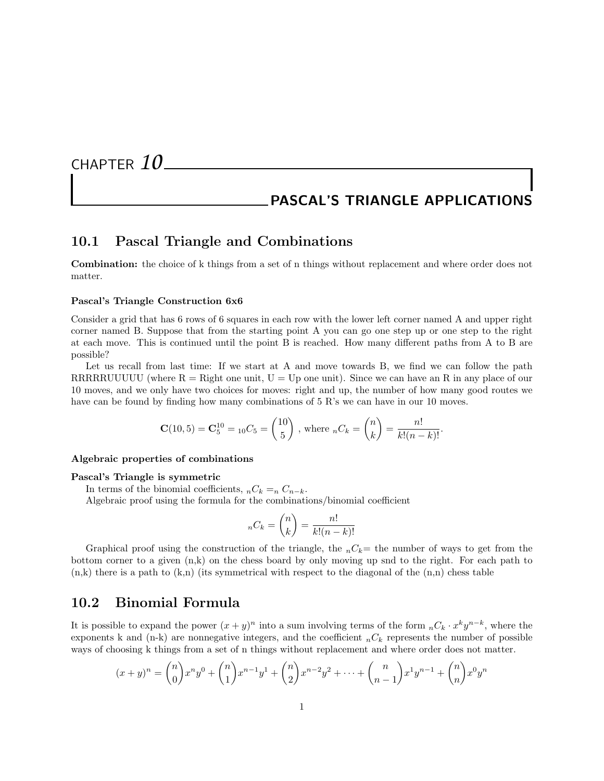CHAPTER *10*

# PASCAL'S TRIANGLE APPLICATIONS

### 10.1 Pascal Triangle and Combinations

Combination: the choice of k things from a set of n things without replacement and where order does not matter.

#### Pascal's Triangle Construction 6x6

Consider a grid that has 6 rows of 6 squares in each row with the lower left corner named A and upper right corner named B. Suppose that from the starting point A you can go one step up or one step to the right at each move. This is continued until the point B is reached. How many different paths from A to B are possible?

Let us recall from last time: If we start at A and move towards B, we find we can follow the path RRRRRUUUUU (where  $R = R$ ight one unit,  $U = Up$  one unit). Since we can have an R in any place of our 10 moves, and we only have two choices for moves: right and up, the number of how many good routes we have can be found by finding how many combinations of 5 R's we can have in our 10 moves.

$$
\mathbf{C}(10,5) = \mathbf{C}_5^{10} = {}_{10}C_5 = \begin{pmatrix} 10 \\ 5 \end{pmatrix}, \text{ where } {}_{n}C_k = \begin{pmatrix} n \\ k \end{pmatrix} = \frac{n!}{k!(n-k)!}.
$$

#### Algebraic properties of combinations

#### Pascal's Triangle is symmetric

In terms of the binomial coefficients,  $nC_k = nC_{n-k}$ . Algebraic proof using the formula for the combinations/binomial coefficient

$$
{}_{n}C_{k} = \binom{n}{k} = \frac{n!}{k!(n-k)!}
$$

Graphical proof using the construction of the triangle, the  $nC_k=$  the number of ways to get from the bottom corner to a given (n,k) on the chess board by only moving up snd to the right. For each path to  $(n,k)$  there is a path to  $(k,n)$  (its symmetrical with respect to the diagonal of the  $(n,n)$  chess table

### 10.2 Binomial Formula

It is possible to expand the power  $(x + y)^n$  into a sum involving terms of the form  ${}_{n}C_{k} \cdot x^{k}y^{n-k}$ , where the exponents k and (n-k) are nonnegative integers, and the coefficient  ${}_{n}C_{k}$  represents the number of possible ways of choosing k things from a set of n things without replacement and where order does not matter.

$$
(x+y)^n = {n \choose 0} x^n y^0 + {n \choose 1} x^{n-1} y^1 + {n \choose 2} x^{n-2} y^2 + \dots + {n \choose n-1} x^1 y^{n-1} + {n \choose n} x^0 y^n
$$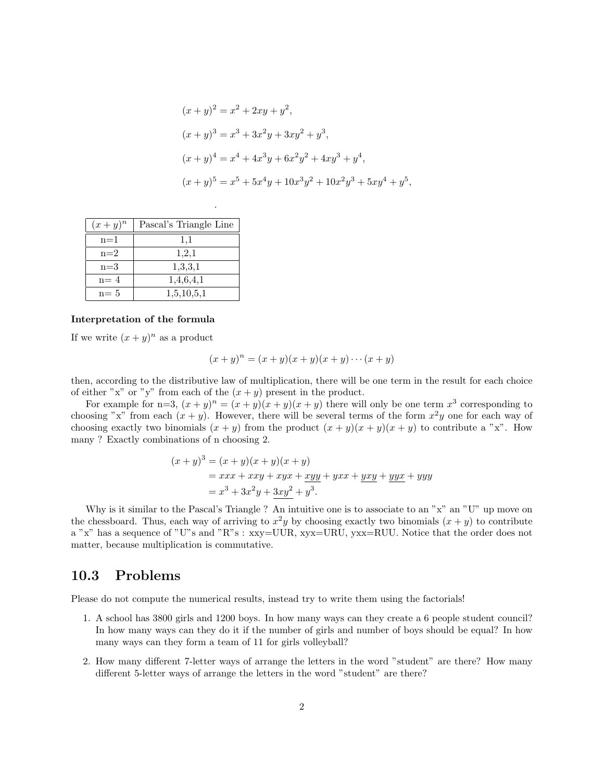$$
(x + y)^2 = x^2 + 2xy + y^2,
$$
  
\n
$$
(x + y)^3 = x^3 + 3x^2y + 3xy^2 + y^3,
$$
  
\n
$$
(x + y)^4 = x^4 + 4x^3y + 6x^2y^2 + 4xy^3 + y^4,
$$
  
\n
$$
(x + y)^5 = x^5 + 5x^4y + 10x^3y^2 + 10x^2y^3 + 5xy^4 + y^5,
$$

| $(x+y)^n$ | Pascal's Triangle Line |
|-----------|------------------------|
| $n=1$     | 1,1                    |
| $n=2$     | 1,2,1                  |
| $n=3$     | 1,3,3,1                |
| $n = 4$   | 1,4,6,4,1              |
| $n = 5$   | 1,5,10,5,1             |

.

#### Interpretation of the formula

If we write  $(x+y)^n$  as a product

$$
(x+y)^n = (x+y)(x+y)(x+y)\cdots(x+y)
$$

then, according to the distributive law of multiplication, there will be one term in the result for each choice of either "x" or "y" from each of the  $(x + y)$  present in the product.

For example for n=3,  $(x+y)^n = (x+y)(x+y)(x+y)$  there will only be one term  $x^3$  corresponding to choosing "x" from each  $(x + y)$ . However, there will be several terms of the form  $x^2y$  one for each way of choosing exactly two binomials  $(x + y)$  from the product  $(x + y)(x + y)(x + y)$  to contribute a "x". How many ? Exactly combinations of n choosing 2.

$$
(x + y)3 = (x + y)(x + y)(x + y)
$$
  
= xxx + xxy + xyx + xyy + yxx + yxy + yyx + yyy  
= x<sup>3</sup> + 3x<sup>2</sup>y + 3xy<sup>2</sup> + y<sup>3</sup>.

Why is it similar to the Pascal's Triangle ? An intuitive one is to associate to an " $x$ " an "U" up move on the chessboard. Thus, each way of arriving to  $x^2y$  by choosing exactly two binomials  $(x + y)$  to contribute a "x" has a sequence of "U"s and "R"s : xxy=UUR, xyx=URU, yxx=RUU. Notice that the order does not matter, because multiplication is commutative.

## 10.3 Problems

Please do not compute the numerical results, instead try to write them using the factorials!

- 1. A school has 3800 girls and 1200 boys. In how many ways can they create a 6 people student council? In how many ways can they do it if the number of girls and number of boys should be equal? In how many ways can they form a team of 11 for girls volleyball?
- 2. How many different 7-letter ways of arrange the letters in the word "student" are there? How many different 5-letter ways of arrange the letters in the word "student" are there?